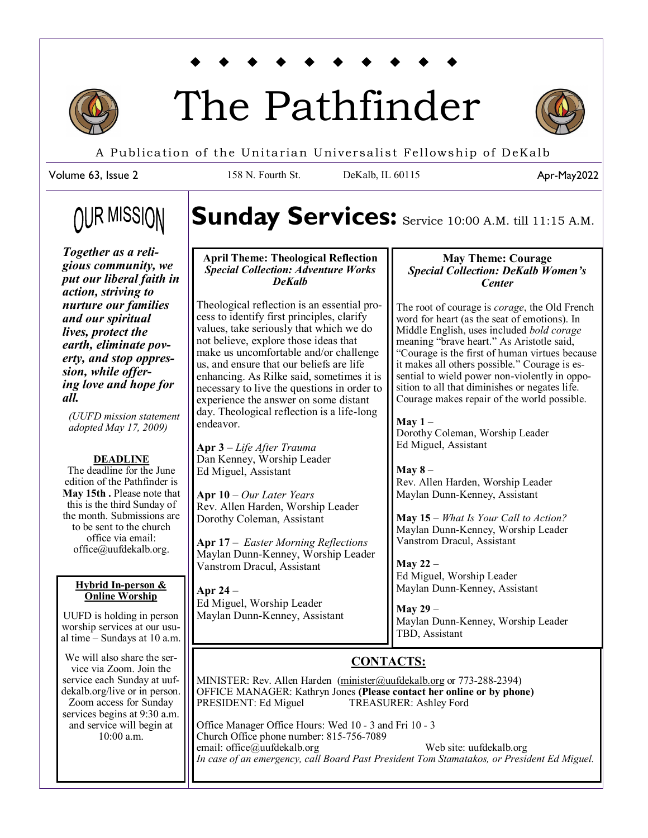

# The Pathfinder



Apr-May2022

A Publication of the Unitarian Universalist Fellowship of DeKalb

158 N. Fourth St. DeKalb, IL 60115

Volume 63, Issue 2

# **OUR MISSION**

*Together as a religious community, we put our liberal faith in action, striving to nurture our families and our spiritual lives, protect the earth, eliminate poverty, and stop oppression, while offering love and hope for all.* 

*(UUFD mission statement adopted May 17, 2009)*

# **DEADLINE**

The deadline for the June edition of the Pathfinder is **May 15th .** Please note that this is the third Sunday of the month. Submissions are to be sent to the church office via email: office@uufdekalb.org.

#### **Hybrid In-person & Online Worship**

UUFD is holding in person worship services at our usual time – Sundays at 10 a.m.

We will also share the service via Zoom. Join the service each Sunday at uufdekalb.org/live or in person. Zoom access for Sunday services begins at 9:30 a.m. and service will begin at 10:00 a.m.

Sunday Services: Service 10:00 A.M. till 11:15 A.M.

### **April Theme: Theological Reflection**  *Special Collection: Adventure Works DeKalb*

Theological reflection is an essential process to identify first principles, clarify values, take seriously that which we do not believe, explore those ideas that make us uncomfortable and/or challenge us, and ensure that our beliefs are life enhancing. As Rilke said, sometimes it is necessary to live the questions in order to experience the answer on some distant day. Theological reflection is a life-long endeavor.

**Apr 3** – *Life After Trauma* Dan Kenney, Worship Leader Ed Miguel, Assistant

**Apr 10** – *Our Later Years* Rev. Allen Harden, Worship Leader Dorothy Coleman, Assistant

**Apr 17** – *Easter Morning Reflections* Maylan Dunn-Kenney, Worship Leader Vanstrom Dracul, Assistant

**Apr 24** – Ed Miguel, Worship Leader Maylan Dunn-Kenney, Assistant

### **May Theme: Courage**  *Special Collection: DeKalb Women's Center*

The root of courage is *corage*, the Old French word for heart (as the seat of emotions). In Middle English, uses included *bold corage* meaning "brave heart." As Aristotle said, "Courage is the first of human virtues because it makes all others possible." Courage is essential to wield power non-violently in opposition to all that diminishes or negates life. Courage makes repair of the world possible.

**May 1** – Dorothy Coleman, Worship Leader Ed Miguel, Assistant

**May 8** – Rev. Allen Harden, Worship Leader Maylan Dunn-Kenney, Assistant

**May 15** – *What Is Your Call to Action?* Maylan Dunn-Kenney, Worship Leader Vanstrom Dracul, Assistant

**May 22** – Ed Miguel, Worship Leader Maylan Dunn-Kenney, Assistant

**May 29** – Maylan Dunn-Kenney, Worship Leader TBD, Assistant

# **CONTACTS:**

MINISTER: Rev. Allen Harden [\(minister@uufdekalb.org](mailto:awhinchicago@gmail.com) or 773-288-2394) OFFICE MANAGER: Kathryn Jones **(Please contact her online or by phone)** PRESIDENT: Ed Miguel TREASURER: Ashley Ford

Office Manager Office Hours: Wed 10 - 3 and Fri 10 - 3 Church Office phone number: 815-756-7089 email: office@uufdekalb.org Web site: uufdekalb.org *In case of an emergency, call Board Past President Tom Stamatakos, or President Ed Miguel.*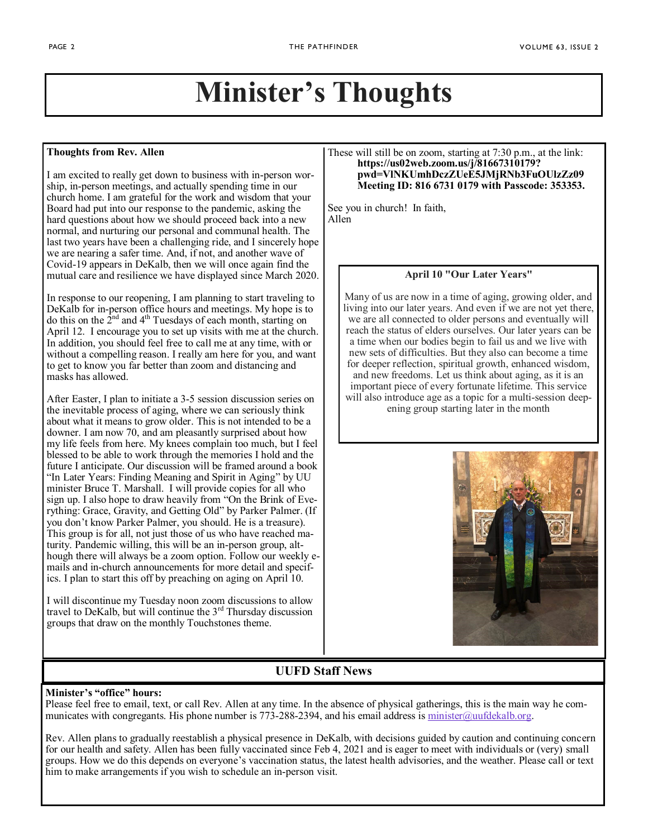# **Minister's Thoughts**

#### **Thoughts from Rev. Allen**

I am excited to really get down to business with in-person worship, in-person meetings, and actually spending time in our church home. I am grateful for the work and wisdom that your Board had put into our response to the pandemic, asking the hard questions about how we should proceed back into a new normal, and nurturing our personal and communal health. The last two years have been a challenging ride, and I sincerely hope we are nearing a safer time. And, if not, and another wave of Covid-19 appears in DeKalb, then we will once again find the mutual care and resilience we have displayed since March 2020.

In response to our reopening, I am planning to start traveling to DeKalb for in-person office hours and meetings. My hope is to do this on the  $2<sup>nd</sup>$  and  $4<sup>th</sup>$  Tuesdays of each month, starting on April 12. I encourage you to set up visits with me at the church. In addition, you should feel free to call me at any time, with or without a compelling reason. I really am here for you, and want to get to know you far better than zoom and distancing and masks has allowed.

After Easter, I plan to initiate a 3-5 session discussion series on the inevitable process of aging, where we can seriously think about what it means to grow older. This is not intended to be a downer. I am now 70, and am pleasantly surprised about how my life feels from here. My knees complain too much, but I feel blessed to be able to work through the memories I hold and the future I anticipate. Our discussion will be framed around a book "In Later Years: Finding Meaning and Spirit in Aging" by UU minister Bruce T. Marshall. I will provide copies for all who sign up. I also hope to draw heavily from "On the Brink of Everything: Grace, Gravity, and Getting Old" by Parker Palmer. (If you don't know Parker Palmer, you should. He is a treasure). This group is for all, not just those of us who have reached maturity. Pandemic willing, this will be an in-person group, although there will always be a zoom option. Follow our weekly emails and in-church announcements for more detail and specifics. I plan to start this off by preaching on aging on April 10.

I will discontinue my Tuesday noon zoom discussions to allow travel to DeKalb, but will continue the 3<sup>rd</sup> Thursday discussion groups that draw on the monthly Touchstones theme.

#### These will still be on zoom, starting at 7:30 p.m., at the link: **https://us02web.zoom.us/j/81667310179? pwd=VlNKUmhDczZUeE5JMjRNb3FuOUlzZz09 Meeting ID: 816 6731 0179 with Passcode: 353353.**

See you in church! In faith, Allen

#### **April 10 "Our Later Years"**

Many of us are now in a time of aging, growing older, and living into our later years. And even if we are not yet there, we are all connected to older persons and eventually will reach the status of elders ourselves. Our later years can be a time when our bodies begin to fail us and we live with new sets of difficulties. But they also can become a time for deeper reflection, spiritual growth, enhanced wisdom, and new freedoms. Let us think about aging, as it is an important piece of every fortunate lifetime. This service will also introduce age as a topic for a multi-session deepening group starting later in the month



# **UUFD Staff News**

#### **Minister's "office" hours:**

Please feel free to email, text, or call Rev. Allen at any time. In the absence of physical gatherings, this is the main way he communicates with congregants. His phone number is  $773-288-2394$ , and his email address is [minister@uufdekalb.org.](mailto:minister@uufdekalb.org)

Rev. Allen plans to gradually reestablish a physical presence in DeKalb, with decisions guided by caution and continuing concern for our health and safety. Allen has been fully vaccinated since Feb 4, 2021 and is eager to meet with individuals or (very) small groups. How we do this depends on everyone's vaccination status, the latest health advisories, and the weather. Please call or text him to make arrangements if you wish to schedule an in-person visit.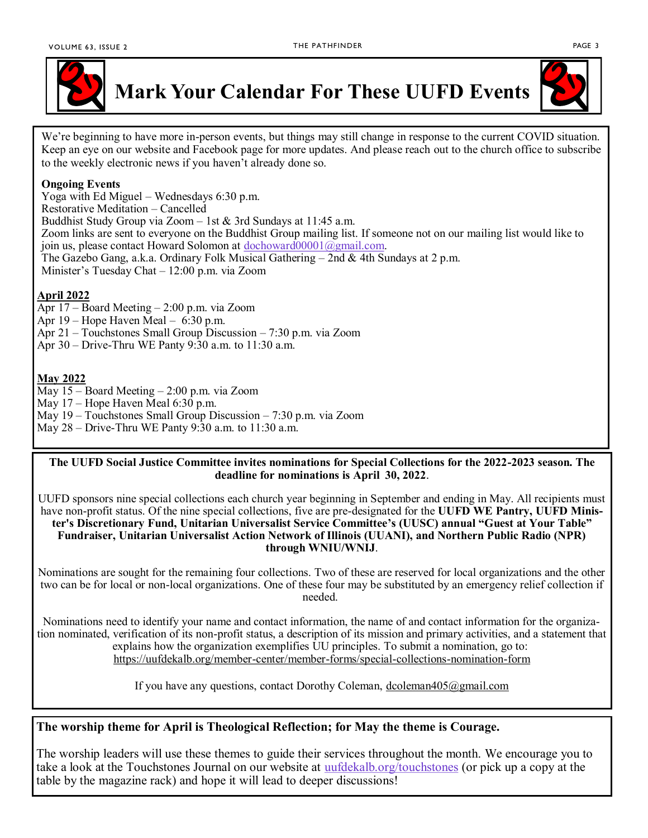

**Mark Your Calendar For These UUFD Events**

We're beginning to have more in-person events, but things may still change in response to the current COVID situation. Keep an eye on our website and Facebook page for more updates. And please reach out to the church office to subscribe to the weekly electronic news if you haven't already done so.

# **Ongoing Events**

Yoga with Ed Miguel – Wednesdays 6:30 p.m. Restorative Meditation – Cancelled Buddhist Study Group via Zoom – 1st & 3rd Sundays at 11:45 a.m. Zoom links are sent to everyone on the Buddhist Group mailing list. If someone not on our mailing list would like to join us, please contact Howard Solomon at [dochoward00001@gmail.com.](mailto:dochoward00001@gmail.com) The Gazebo Gang, a.k.a. Ordinary Folk Musical Gathering  $-$  2nd & 4th Sundays at 2 p.m. Minister's Tuesday Chat – 12:00 p.m. via Zoom

# **April 2022**

Apr 17 – Board Meeting – 2:00 p.m. via Zoom

Apr 19 – Hope Haven Meal – 6:30 p.m.

Apr 21 – Touchstones Small Group Discussion – 7:30 p.m. via Zoom

Apr 30 – Drive-Thru WE Panty 9:30 a.m. to 11:30 a.m.

# **May 2022**

May 15 – Board Meeting – 2:00 p.m. via Zoom

May 17 – Hope Haven Meal 6:30 p.m.

May 19 – Touchstones Small Group Discussion – 7:30 p.m. via Zoom

May 28 – Drive-Thru WE Panty 9:30 a.m. to 11:30 a.m.

# **The UUFD Social Justice Committee invites nominations for Special Collections for the 2022-2023 season. The deadline for nominations is April 30, 2022**.

UUFD sponsors nine special collections each church year beginning in September and ending in May. All recipients must have non-profit status. Of the nine special collections, five are pre-designated for the **UUFD WE Pantry, UUFD Minister's Discretionary Fund, Unitarian Universalist Service Committee's (UUSC) annual "Guest at Your Table" Fundraiser, Unitarian Universalist Action Network of Illinois (UUANI), and Northern Public Radio (NPR) through WNIU/WNIJ**.

Nominations are sought for the remaining four collections. Two of these are reserved for local organizations and the other two can be for local or non-local organizations. One of these four may be substituted by an emergency relief collection if needed.

Nominations need to identify your name and contact information, the name of and contact information for the organization nominated, verification of its non-profit status, a description of its mission and primary activities, and a statement that explains how the organization exemplifies UU principles. To submit a nomination, go to: [https://uufdekalb.org/member](https://uufdekalb.org/member-center/member-forms/special-collections-nomination-form)-center/member-forms/special-collections-nomination-form

If you have any questions, contact Dorothy Coleman, [dcoleman405@gmail.com](mailto:dcoleman405@gmail.com)

# **The worship theme for April is Theological Reflection; for May the theme is Courage.**

The worship leaders will use these themes to guide their services throughout the month. We encourage you to take a look at the Touchstones Journal on our website at <u>[uufdekalb.org/touchstones](https://uufdekalb.org/lifelong-learning/adults/touchstone%20journal)</u> (or pick up a copy at the table by the magazine rack) and hope it will lead to deeper discussions!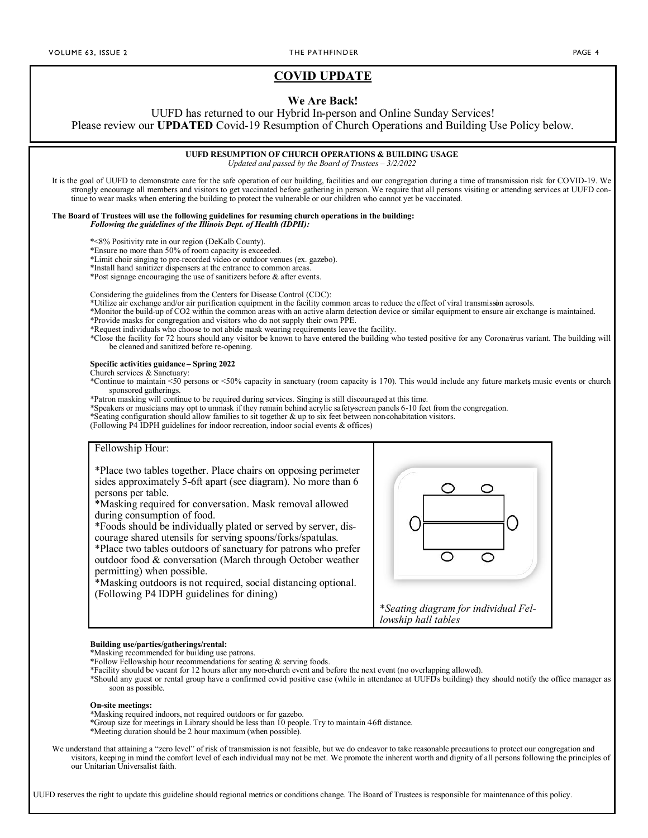THE PATHFINDER **PAGE 4** 

# **COVID UPDATE**

#### **We Are Back!**

UUFD has returned to our Hybrid In-person and Online Sunday Services! Please review our **UPDATED** Covid-19 Resumption of Church Operations and Building Use Policy below.

#### **UUFD RESUMPTION OF CHURCH OPERATIONS & BUILDING USAGE**

*Updated and passed by the Board of Trustees – 3/2/2022*

It is the goal of UUFD to demonstrate care for the safe operation of our building, facilities and our congregation during a time of transmission risk for COVID-19. We strongly encourage all members and visitors to get vaccinated before gathering in person. We require that all persons visiting or attending services at UUFD continue to wear masks when entering the building to protect the vulnerable or our children who cannot yet be vaccinated.

#### **The Board of Trustees will use the following guidelines for resuming church operations in the building:** *Following the guidelines of the Illinois Dept. of Health (IDPH):*

\*<8% Positivity rate in our region (DeKalb County).

\*Ensure no more than 50% of room capacity is exceeded.

\*Limit choir singing to pre-recorded video or outdoor venues (ex. gazebo).

\*Install hand sanitizer dispensers at the entrance to common areas.

\*Post signage encouraging the use of sanitizers before & after events.

Considering the guidelines from the Centers for Disease Control (CDC):

\*Utilize air exchange and/or air purification equipment in the facility common areas to reduce the effect of viral transmission aerosols.

\*Monitor the build-up of CO2 within the common areas with an active alarm detection device or similar equipment to ensure air exchange is maintained.

\*Provide masks for congregation and visitors who do not supply their own PPE. \*Request individuals who choose to not abide mask wearing requirements leave the facility.

\*Close the facility for 72 hours should any visitor be known to have entered the building who tested positive for any Coronavirus variant. The building will be cleaned and sanitized before re-opening.

# **Specific activities guidance – Spring 2022**

Church services & Sanctuary:

\*Continue to maintain <50 persons or <50% capacity in sanctuary (room capacity is 170). This would include any future markets, music events or church sponsored gatherings.

\*Patron masking will continue to be required during services. Singing is still discouraged at this time.

\*Speakers or musicians may opt to unmask if they remain behind acrylic safety-screen panels 6-10 feet from the congregation.

\*Seating configuration should allow families to sit together & up to six feet between non-cohabitation visitors.

(Following P4 IDPH guidelines for indoor recreation, indoor social events & offices)

#### Fellowship Hour:

\*Place two tables together. Place chairs on opposing perimeter sides approximately 5-6ft apart (see diagram). No more than 6 persons per table.

\*Masking required for conversation. Mask removal allowed during consumption of food.

\*Foods should be individually plated or served by server, discourage shared utensils for serving spoons/forks/spatulas.

\*Place two tables outdoors of sanctuary for patrons who prefer outdoor food & conversation (March through October weather permitting) when possible.

\*Masking outdoors is not required, social distancing optional. (Following P4 IDPH guidelines for dining)



*lowship hall tables*

#### **Building use/parties/gatherings/rental:**

\*Masking recommended for building use patrons.

\*Follow Fellowship hour recommendations for seating & serving foods.

\*Facility should be vacant for 12 hours after any non-church event and before the next event (no overlapping allowed).

\*Should any guest or rental group have a confirmed covid positive case (while in attendance at UUFD's building) they should notify the office manager as soon as possible.

#### **On-site meetings:**

\*Masking required indoors, not required outdoors or for gazebo.

\*Group size for meetings in Library should be less than 10 people. Try to maintain 4-6ft distance.

\*Meeting duration should be 2 hour maximum (when possible).

We understand that attaining a "zero level" of risk of transmission is not feasible, but we do endeavor to take reasonable precautions to protect our congregation and visitors, keeping in mind the comfort level of each individual may not be met. We promote the inherent worth and dignity of all persons following the principles of our Unitarian Universalist faith.

UUFD reserves the right to update this guideline should regional metrics or conditions change. The Board of Trustees is responsible for maintenance of this policy.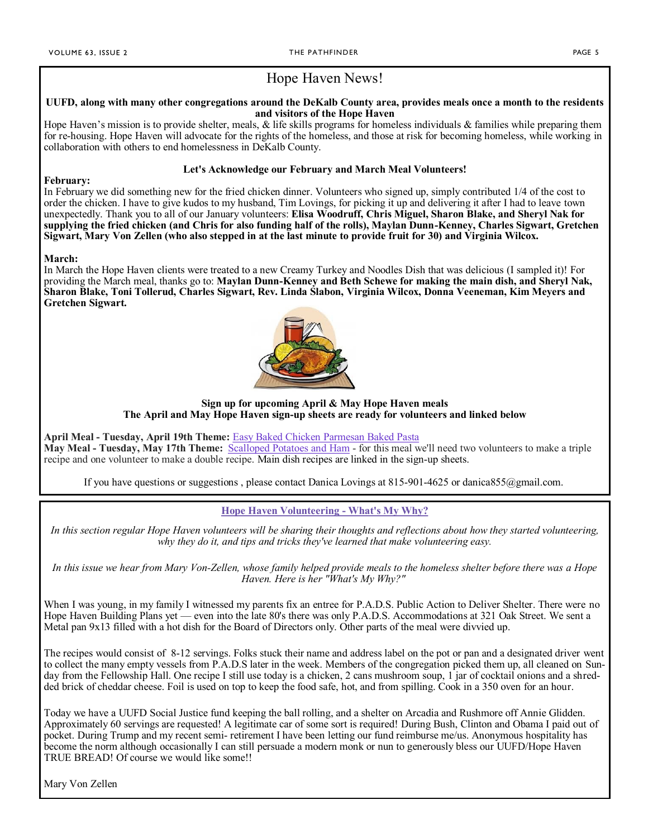# Hope Haven News!

#### **UUFD, along with many other congregations around the DeKalb County area, provides meals once a month to the residents and visitors of the Hope Haven**

Hope Haven's mission is to provide shelter, meals, & life skills programs for homeless individuals & families while preparing them for re-housing. Hope Haven will advocate for the rights of the homeless, and those at risk for becoming homeless, while working in collaboration with others to end homelessness in DeKalb County.

#### **Let's Acknowledge our February and March Meal Volunteers!**

#### **February:**

In February we did something new for the fried chicken dinner. Volunteers who signed up, simply contributed 1/4 of the cost to order the chicken. I have to give kudos to my husband, Tim Lovings, for picking it up and delivering it after I had to leave town unexpectedly. Thank you to all of our January volunteers: **Elisa Woodruff, Chris Miguel, Sharon Blake, and Sheryl Nak for supplying the fried chicken (and Chris for also funding half of the rolls), Maylan Dunn-Kenney, Charles Sigwart, Gretchen Sigwart, Mary Von Zellen (who also stepped in at the last minute to provide fruit for 30) and Virginia Wilcox.**

#### **March:**

In March the Hope Haven clients were treated to a new Creamy Turkey and Noodles Dish that was delicious (I sampled it)! For providing the March meal, thanks go to: **Maylan Dunn-Kenney and Beth Schewe for making the main dish, and Sheryl Nak, Sharon Blake, Toni Tollerud, Charles Sigwart, Rev. Linda Slabon, Virginia Wilcox, Donna Veeneman, Kim Meyers and Gretchen Sigwart.**



**Sign up for upcoming April & May Hope Haven meals The April and May Hope Haven sign-up sheets are ready for volunteers and linked below**

**April Meal - Tuesday, April 19th Theme:** [Easy Baked Chicken Parmesan Baked Pasta](https://docs.google.com/document/d/1S12orQg3nPyJkpnj37E81gNf_FvLKxuOQ4ECB-dVY-8/edit?usp=sharing) **May Meal - Tuesday, May 17th Theme:** [Scalloped Potatoes and Ham](https://www.spendwithpennies.com/scalloped-potatoes-and-ham/) - for this meal we'll need two volunteers to make a triple recipe and one volunteer to make a double recipe. Main dish recipes are linked in the sign-up sheets.

If you have questions or suggestions , please contact Danica Lovings at 815-901-4625 or danica855@gmail.com.

#### **Hope Haven Volunteering - What's My Why?**

*In this section regular Hope Haven volunteers will be sharing their thoughts and reflections about how they started volunteering, why they do it, and tips and tricks they've learned that make volunteering easy.*

*In this issue we hear from Mary Von-Zellen, whose family helped provide meals to the homeless shelter before there was a Hope Haven. Here is her "What's My Why?"*

When I was young, in my family I witnessed my parents fix an entree for P.A.D.S. Public Action to Deliver Shelter. There were no Hope Haven Building Plans yet — even into the late 80's there was only P.A.D.S. Accommodations at 321 Oak Street. We sent a Metal pan 9x13 filled with a hot dish for the Board of Directors only. Other parts of the meal were divvied up.

The recipes would consist of 8-12 servings. Folks stuck their name and address label on the pot or pan and a designated driver went to collect the many empty vessels from P.A.D.S later in the week. Members of the congregation picked them up, all cleaned on Sunday from the Fellowship Hall. One recipe I still use today is a chicken, 2 cans mushroom soup, 1 jar of cocktail onions and a shredded brick of cheddar cheese. Foil is used on top to keep the food safe, hot, and from spilling. Cook in a 350 oven for an hour.

Today we have a UUFD Social Justice fund keeping the ball rolling, and a shelter on Arcadia and Rushmore off Annie Glidden. Approximately 60 servings are requested! A legitimate car of some sort is required! During Bush, Clinton and Obama I paid out of pocket. During Trump and my recent semi- retirement I have been letting our fund reimburse me/us. Anonymous hospitality has become the norm although occasionally I can still persuade a modern monk or nun to generously bless our UUFD/Hope Haven TRUE BREAD! Of course we would like some!!

Mary Von Zellen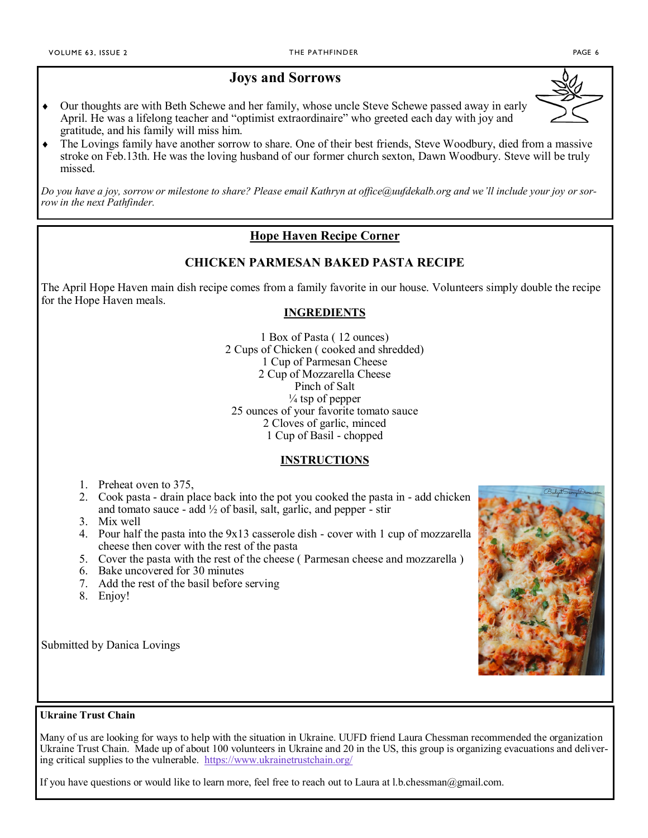# **Joys and Sorrows**

- Our thoughts are with Beth Schewe and her family, whose uncle Steve Schewe passed away in early April. He was a lifelong teacher and "optimist extraordinaire" who greeted each day with joy and gratitude, and his family will miss him.
- The Lovings family have another sorrow to share. One of their best friends, Steve Woodbury, died from a massive stroke on Feb.13th. He was the loving husband of our former church sexton, Dawn Woodbury. Steve will be truly missed.

*Do you have a joy, sorrow or milestone to share? Please email Kathryn at office@uufdekalb.org and we'll include your joy or sorrow in the next Pathfinder.*

# **Hope Haven Recipe Corner**

# **CHICKEN PARMESAN BAKED PASTA RECIPE**

The April Hope Haven main dish recipe comes from a family favorite in our house. Volunteers simply double the recipe for the Hope Haven meals.

#### **INGREDIENTS**

1 Box of Pasta ( 12 ounces) 2 Cups of Chicken ( cooked and shredded) 1 Cup of Parmesan Cheese 2 Cup of Mozzarella Cheese Pinch of Salt  $\frac{1}{4}$  tsp of pepper 25 ounces of your favorite tomato sauce 2 Cloves of garlic, minced 1 Cup of Basil - chopped

# **INSTRUCTIONS**

- 1. Preheat oven to 375,
- 2. Cook pasta drain place back into the pot you cooked the pasta in add chicken and tomato sauce - add  $\frac{1}{2}$  of basil, salt, garlic, and pepper - stir
- 3. Mix well
- 4. Pour half the pasta into the 9x13 casserole dish cover with 1 cup of mozzarella cheese then cover with the rest of the pasta
- 5. Cover the pasta with the rest of the cheese ( Parmesan cheese and mozzarella )
- 6. Bake uncovered for 30 minutes
- 7. Add the rest of the basil before serving
- 8. Enjoy!

Submitted by Danica Lovings

#### **Ukraine Trust Chain**

Many of us are looking for ways to help with the situation in Ukraine. UUFD friend Laura Chessman recommended the organization Ukraine Trust Chain. Made up of about 100 volunteers in Ukraine and 20 in the US, this group is organizing evacuations and delivering critical supplies to the vulnerable. <https://www.ukrainetrustchain.org/>

If you have questions or would like to learn more, feel free to reach out to Laura at l.b.chessman@gmail.com.



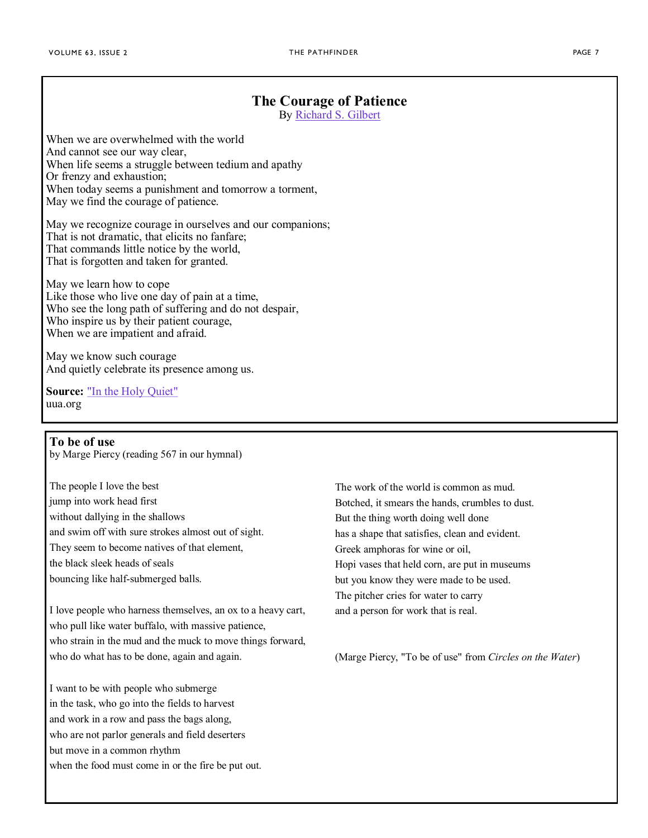# **The Courage of Patience**

By [Richard S. Gilbert](https://www.uua.org/offices/people/richard-s-gilbert)

When we are overwhelmed with the world And cannot see our way clear, When life seems a struggle between tedium and apathy Or frenzy and exhaustion; When today seems a punishment and tomorrow a torment, May we find the courage of patience.

May we recognize courage in ourselves and our companions; That is not dramatic, that elicits no fanfare; That commands little notice by the world, That is forgotten and taken for granted.

May we learn how to cope Like those who live one day of pain at a time, Who see the long path of suffering and do not despair, Who inspire us by their patient courage, When we are impatient and afraid.

May we know such courage And quietly celebrate its presence among us.

**Source:** ["In the Holy Quiet"](http://www.uuabookstore.org/In-the-Holy-Quiet-P17258.aspx) uua.org

#### **To be of use**

by Marge Piercy (reading 567 in our hymnal)

The people I love the best jump into work head first without dallying in the shallows and swim off with sure strokes almost out of sight. They seem to become natives of that element, the black sleek heads of seals bouncing like half-submerged balls.

I love people who harness themselves, an ox to a heavy cart, who pull like water buffalo, with massive patience, who strain in the mud and the muck to move things forward, who do what has to be done, again and again.

I want to be with people who submerge in the task, who go into the fields to harvest and work in a row and pass the bags along, who are not parlor generals and field deserters but move in a common rhythm when the food must come in or the fire be put out. The work of the world is common as mud. Botched, it smears the hands, crumbles to dust. But the thing worth doing well done has a shape that satisfies, clean and evident. Greek amphoras for wine or oil, Hopi vases that held corn, are put in museums but you know they were made to be used. The pitcher cries for water to carry and a person for work that is real.

(Marge Piercy, "To be of use" from *Circles on the Water*)